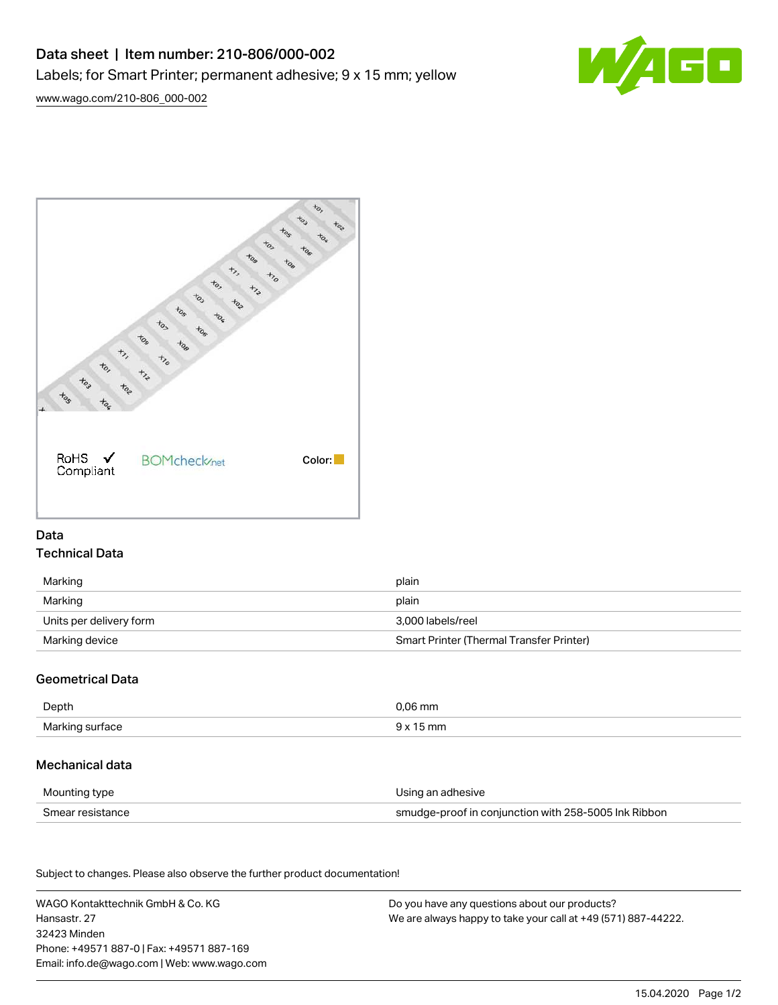# Data sheet | Item number: 210-806/000-002 Labels; for Smart Printer; permanent adhesive; 9 x 15 mm; yellow







# Data Technical Data

| Marking                 | plain                                    |
|-------------------------|------------------------------------------|
| Marking                 | plain                                    |
| Units per delivery form | 3.000 labels/reel                        |
| Marking device          | Smart Printer (Thermal Transfer Printer) |

## Geometrical Data

| Depth           | 0.06 mm   |
|-----------------|-----------|
| Marking surface | mn<br>uv″ |

### Mechanical data

| Mounting type    | Using an adhesive                                    |
|------------------|------------------------------------------------------|
| Smear resistance | smudge-proof in conjunction with 258-5005 Ink Ribbon |

Subject to changes. Please also observe the further product documentation! Material Data

| WAGO Kontakttechnik GmbH & Co. KG           | Do you have any questions about our products?                 |
|---------------------------------------------|---------------------------------------------------------------|
| Hansastr, 27                                | We are always happy to take your call at +49 (571) 887-44222. |
| 32423 Minden                                |                                                               |
| Phone: +49571 887-0   Fax: +49571 887-169   |                                                               |
| Email: info.de@wago.com   Web: www.wago.com |                                                               |